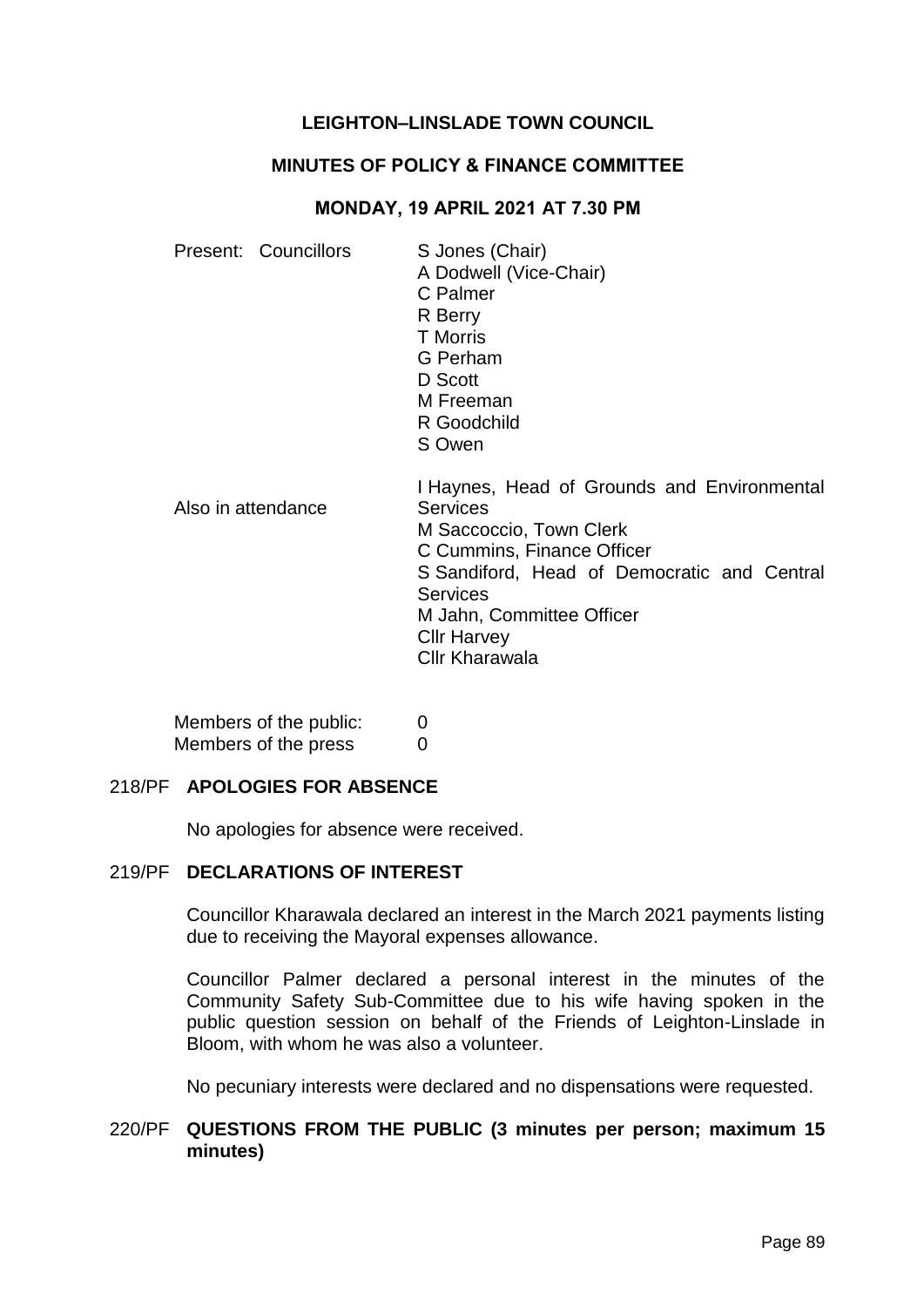## **LEIGHTON–LINSLADE TOWN COUNCIL**

## **MINUTES OF POLICY & FINANCE COMMITTEE**

## **MONDAY, 19 APRIL 2021 AT 7.30 PM**

| Present: Councillors | S Jones (Chair)<br>A Dodwell (Vice-Chair)<br>C Palmer<br>R Berry<br><b>T</b> Morris<br>G Perham<br>D Scott<br>M Freeman<br>R Goodchild<br>S Owen                                                                                                                      |
|----------------------|-----------------------------------------------------------------------------------------------------------------------------------------------------------------------------------------------------------------------------------------------------------------------|
| Also in attendance   | I Haynes, Head of Grounds and Environmental<br><b>Services</b><br>M Saccoccio, Town Clerk<br>C Cummins, Finance Officer<br>S Sandiford, Head of Democratic and Central<br><b>Services</b><br>M Jahn, Committee Officer<br><b>Cllr Harvey</b><br><b>Cllr Kharawala</b> |

| Members of the public: | $\Omega$ |
|------------------------|----------|
| Members of the press   | $\Omega$ |

### 218/PF **APOLOGIES FOR ABSENCE**

No apologies for absence were received.

# 219/PF **DECLARATIONS OF INTEREST**

Councillor Kharawala declared an interest in the March 2021 payments listing due to receiving the Mayoral expenses allowance.

Councillor Palmer declared a personal interest in the minutes of the Community Safety Sub-Committee due to his wife having spoken in the public question session on behalf of the Friends of Leighton-Linslade in Bloom, with whom he was also a volunteer.

No pecuniary interests were declared and no dispensations were requested.

## 220/PF **QUESTIONS FROM THE PUBLIC (3 minutes per person; maximum 15 minutes)**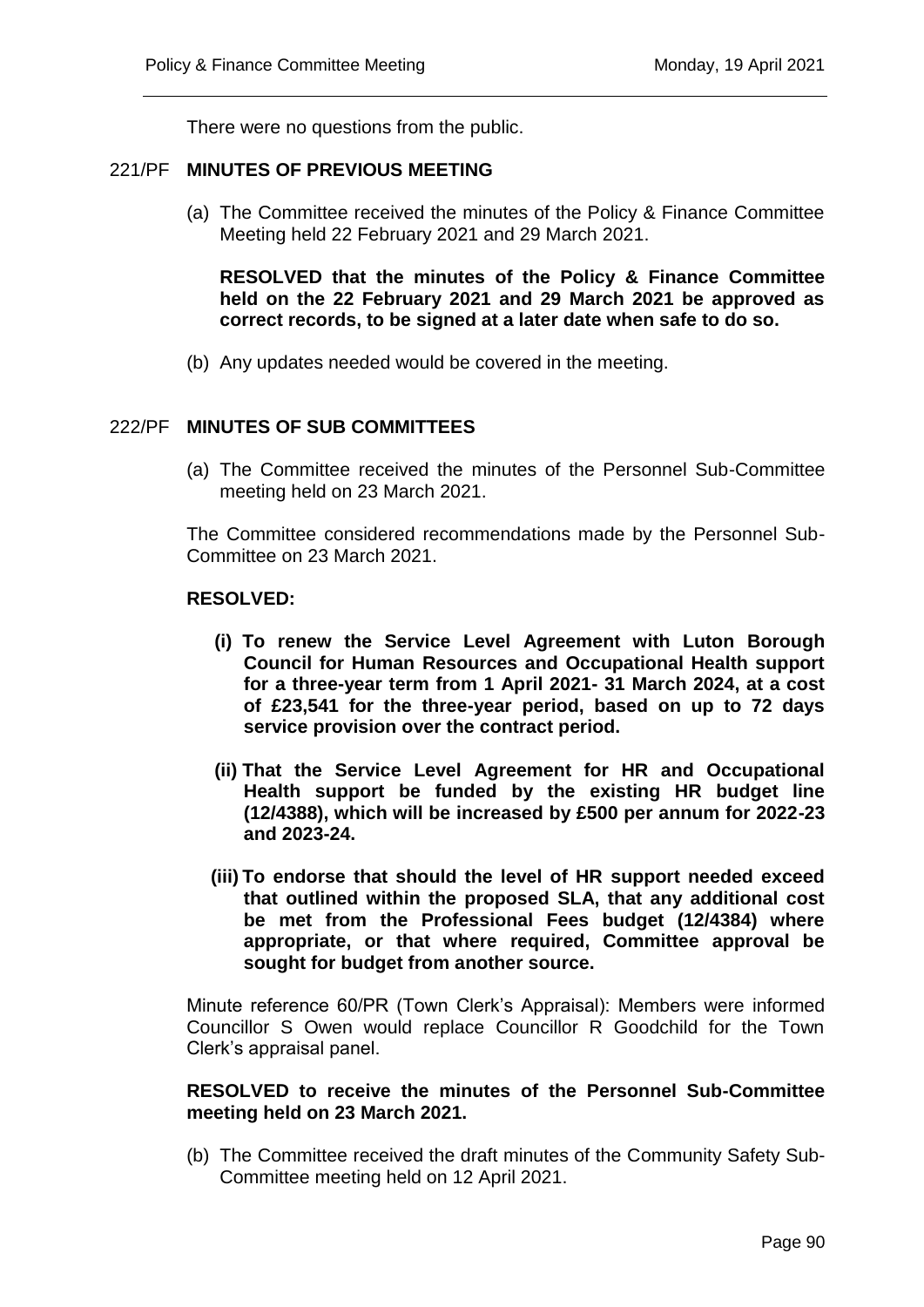There were no questions from the public.

## 221/PF **MINUTES OF PREVIOUS MEETING**

(a) The Committee received the minutes of the Policy & Finance Committee Meeting held 22 February 2021 and 29 March 2021.

**RESOLVED that the minutes of the Policy & Finance Committee held on the 22 February 2021 and 29 March 2021 be approved as correct records, to be signed at a later date when safe to do so.**

(b) Any updates needed would be covered in the meeting.

## 222/PF **MINUTES OF SUB COMMITTEES**

(a) The Committee received the minutes of the Personnel Sub-Committee meeting held on 23 March 2021.

The Committee considered recommendations made by the Personnel Sub-Committee on 23 March 2021.

#### **RESOLVED:**

- **(i) To renew the Service Level Agreement with Luton Borough Council for Human Resources and Occupational Health support for a three-year term from 1 April 2021- 31 March 2024, at a cost of £23,541 for the three-year period, based on up to 72 days service provision over the contract period.**
- **(ii) That the Service Level Agreement for HR and Occupational Health support be funded by the existing HR budget line (12/4388), which will be increased by £500 per annum for 2022-23 and 2023-24.**
- **(iii) To endorse that should the level of HR support needed exceed that outlined within the proposed SLA, that any additional cost be met from the Professional Fees budget (12/4384) where appropriate, or that where required, Committee approval be sought for budget from another source.**

Minute reference 60/PR (Town Clerk's Appraisal): Members were informed Councillor S Owen would replace Councillor R Goodchild for the Town Clerk's appraisal panel.

## **RESOLVED to receive the minutes of the Personnel Sub-Committee meeting held on 23 March 2021.**

(b) The Committee received the draft minutes of the Community Safety Sub-Committee meeting held on 12 April 2021.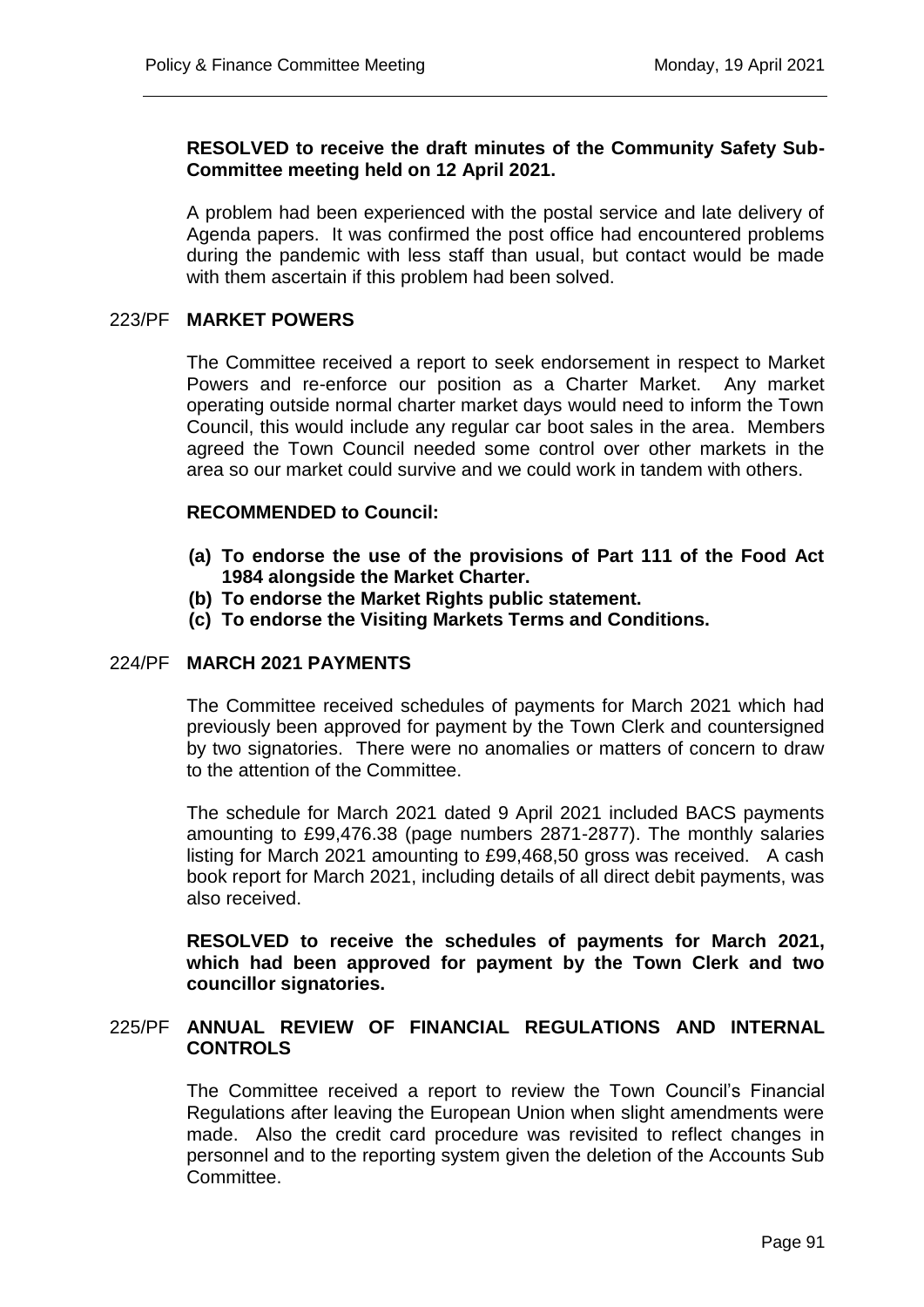## **RESOLVED to receive the draft minutes of the Community Safety Sub-Committee meeting held on 12 April 2021.**

A problem had been experienced with the postal service and late delivery of Agenda papers. It was confirmed the post office had encountered problems during the pandemic with less staff than usual, but contact would be made with them ascertain if this problem had been solved.

## 223/PF **MARKET POWERS**

The Committee received a report to seek endorsement in respect to Market Powers and re-enforce our position as a Charter Market. Any market operating outside normal charter market days would need to inform the Town Council, this would include any regular car boot sales in the area. Members agreed the Town Council needed some control over other markets in the area so our market could survive and we could work in tandem with others.

## **RECOMMENDED to Council:**

- **(a) To endorse the use of the provisions of Part 111 of the Food Act 1984 alongside the Market Charter.**
- **(b) To endorse the Market Rights public statement.**
- **(c) To endorse the Visiting Markets Terms and Conditions.**

### 224/PF **MARCH 2021 PAYMENTS**

The Committee received schedules of payments for March 2021 which had previously been approved for payment by the Town Clerk and countersigned by two signatories. There were no anomalies or matters of concern to draw to the attention of the Committee.

The schedule for March 2021 dated 9 April 2021 included BACS payments amounting to £99,476.38 (page numbers 2871-2877). The monthly salaries listing for March 2021 amounting to £99,468,50 gross was received. A cash book report for March 2021, including details of all direct debit payments, was also received.

**RESOLVED to receive the schedules of payments for March 2021, which had been approved for payment by the Town Clerk and two councillor signatories.** 

## 225/PF **ANNUAL REVIEW OF FINANCIAL REGULATIONS AND INTERNAL CONTROLS**

The Committee received a report to review the Town Council's Financial Regulations after leaving the European Union when slight amendments were made. Also the credit card procedure was revisited to reflect changes in personnel and to the reporting system given the deletion of the Accounts Sub Committee.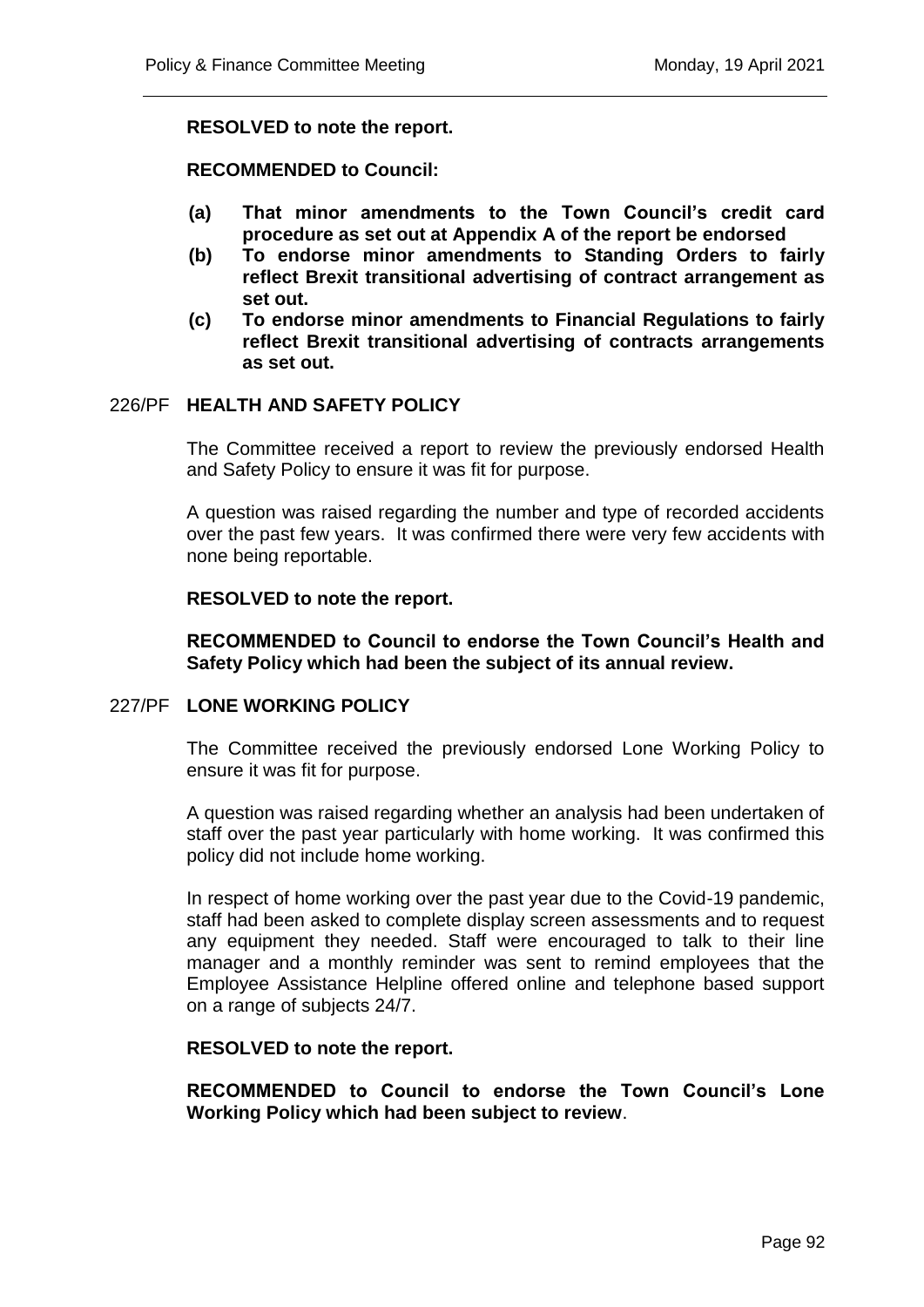## **RESOLVED to note the report.**

## **RECOMMENDED to Council:**

- **(a) That minor amendments to the Town Council's credit card procedure as set out at Appendix A of the report be endorsed**
- **(b) To endorse minor amendments to Standing Orders to fairly reflect Brexit transitional advertising of contract arrangement as set out.**
- **(c) To endorse minor amendments to Financial Regulations to fairly reflect Brexit transitional advertising of contracts arrangements as set out.**

## 226/PF **HEALTH AND SAFETY POLICY**

The Committee received a report to review the previously endorsed Health and Safety Policy to ensure it was fit for purpose.

A question was raised regarding the number and type of recorded accidents over the past few years. It was confirmed there were very few accidents with none being reportable.

#### **RESOLVED to note the report.**

## **RECOMMENDED to Council to endorse the Town Council's Health and Safety Policy which had been the subject of its annual review.**

## 227/PF **LONE WORKING POLICY**

The Committee received the previously endorsed Lone Working Policy to ensure it was fit for purpose.

A question was raised regarding whether an analysis had been undertaken of staff over the past year particularly with home working. It was confirmed this policy did not include home working.

In respect of home working over the past year due to the Covid-19 pandemic, staff had been asked to complete display screen assessments and to request any equipment they needed. Staff were encouraged to talk to their line manager and a monthly reminder was sent to remind employees that the Employee Assistance Helpline offered online and telephone based support on a range of subjects 24/7.

#### **RESOLVED to note the report.**

**RECOMMENDED to Council to endorse the Town Council's Lone Working Policy which had been subject to review**.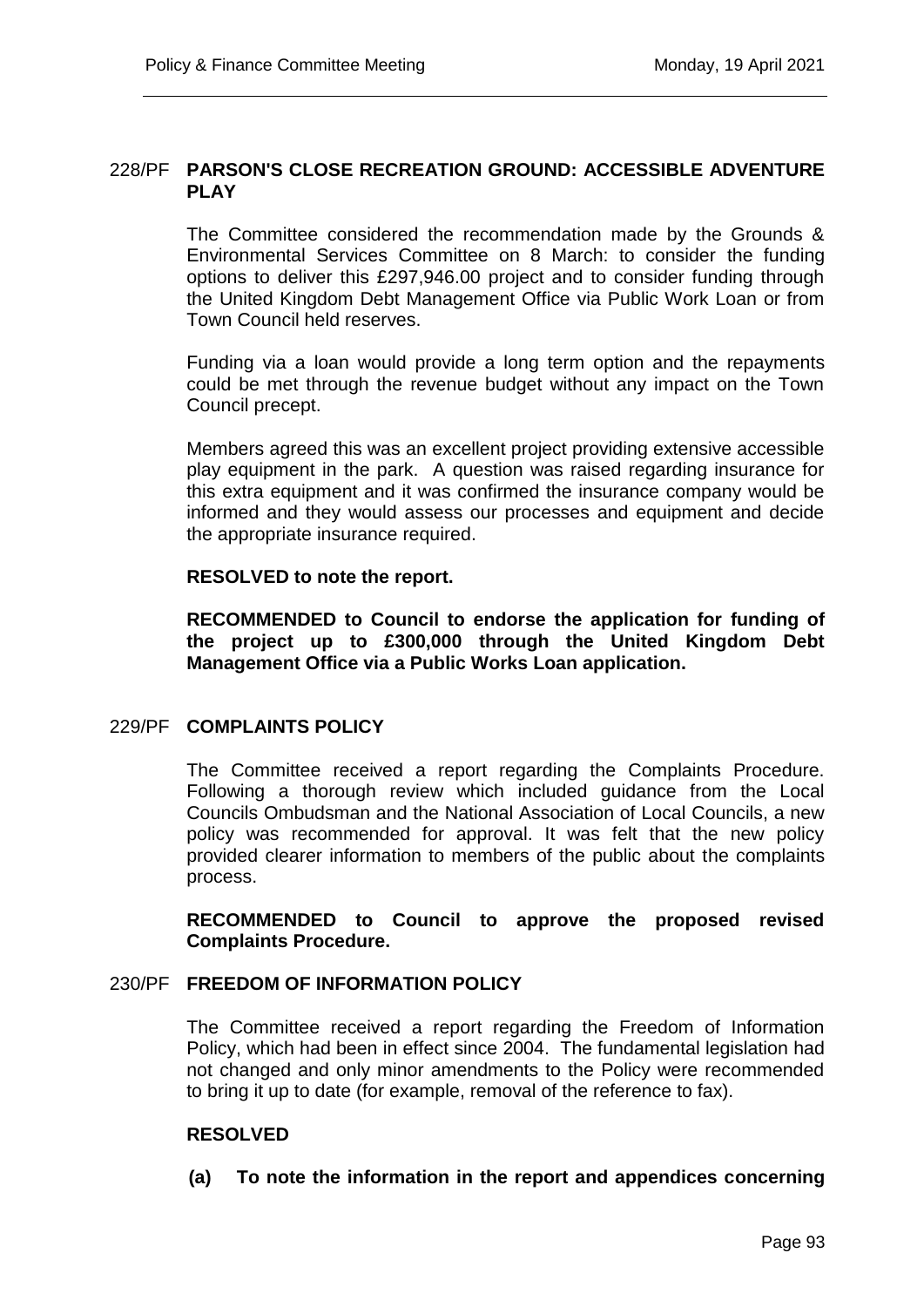## 228/PF **PARSON'S CLOSE RECREATION GROUND: ACCESSIBLE ADVENTURE PLAY**

The Committee considered the recommendation made by the Grounds & Environmental Services Committee on 8 March: to consider the funding options to deliver this £297,946.00 project and to consider funding through the United Kingdom Debt Management Office via Public Work Loan or from Town Council held reserves.

Funding via a loan would provide a long term option and the repayments could be met through the revenue budget without any impact on the Town Council precept.

Members agreed this was an excellent project providing extensive accessible play equipment in the park. A question was raised regarding insurance for this extra equipment and it was confirmed the insurance company would be informed and they would assess our processes and equipment and decide the appropriate insurance required.

## **RESOLVED to note the report.**

**RECOMMENDED to Council to endorse the application for funding of the project up to £300,000 through the United Kingdom Debt Management Office via a Public Works Loan application.** 

## 229/PF **COMPLAINTS POLICY**

The Committee received a report regarding the Complaints Procedure. Following a thorough review which included guidance from the Local Councils Ombudsman and the National Association of Local Councils, a new policy was recommended for approval. It was felt that the new policy provided clearer information to members of the public about the complaints process.

**RECOMMENDED to Council to approve the proposed revised Complaints Procedure.**

### 230/PF **FREEDOM OF INFORMATION POLICY**

The Committee received a report regarding the Freedom of Information Policy, which had been in effect since 2004. The fundamental legislation had not changed and only minor amendments to the Policy were recommended to bring it up to date (for example, removal of the reference to fax).

## **RESOLVED**

**(a) To note the information in the report and appendices concerning**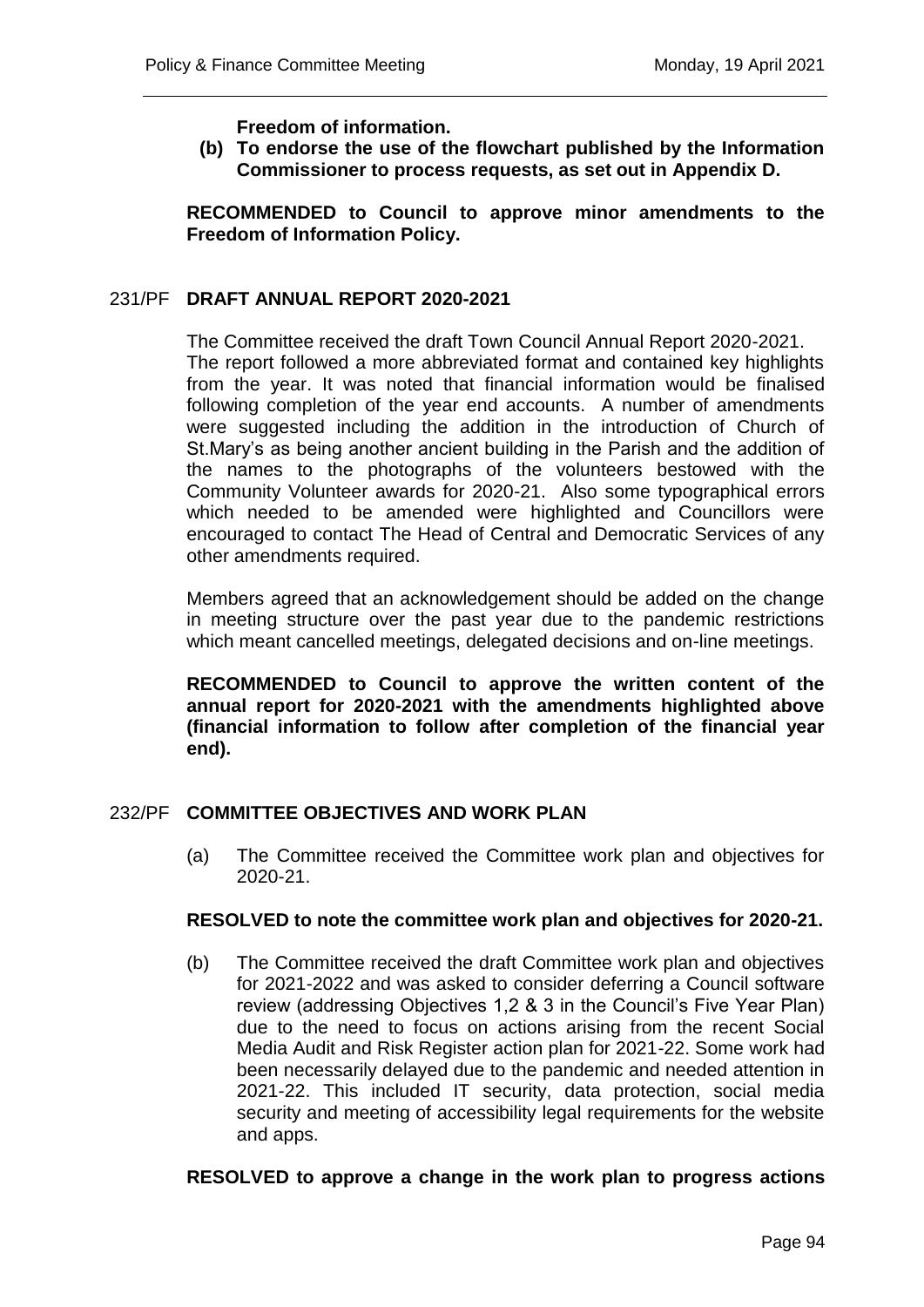**Freedom of information.**

**(b) To endorse the use of the flowchart published by the Information Commissioner to process requests, as set out in Appendix D.**

**RECOMMENDED to Council to approve minor amendments to the Freedom of Information Policy.**

#### 231/PF **DRAFT ANNUAL REPORT 2020-2021**

The Committee received the draft Town Council Annual Report 2020-2021. The report followed a more abbreviated format and contained key highlights from the year. It was noted that financial information would be finalised following completion of the year end accounts. A number of amendments were suggested including the addition in the introduction of Church of St.Mary's as being another ancient building in the Parish and the addition of the names to the photographs of the volunteers bestowed with the Community Volunteer awards for 2020-21. Also some typographical errors which needed to be amended were highlighted and Councillors were encouraged to contact The Head of Central and Democratic Services of any other amendments required.

Members agreed that an acknowledgement should be added on the change in meeting structure over the past year due to the pandemic restrictions which meant cancelled meetings, delegated decisions and on-line meetings.

**RECOMMENDED to Council to approve the written content of the annual report for 2020-2021 with the amendments highlighted above (financial information to follow after completion of the financial year end).** 

## 232/PF **COMMITTEE OBJECTIVES AND WORK PLAN**

(a) The Committee received the Committee work plan and objectives for 2020-21.

#### **RESOLVED to note the committee work plan and objectives for 2020-21.**

(b) The Committee received the draft Committee work plan and objectives for 2021-2022 and was asked to consider deferring a Council software review (addressing Objectives 1,2 & 3 in the Council's Five Year Plan) due to the need to focus on actions arising from the recent Social Media Audit and Risk Register action plan for 2021-22. Some work had been necessarily delayed due to the pandemic and needed attention in 2021-22. This included IT security, data protection, social media security and meeting of accessibility legal requirements for the website and apps.

#### **RESOLVED to approve a change in the work plan to progress actions**